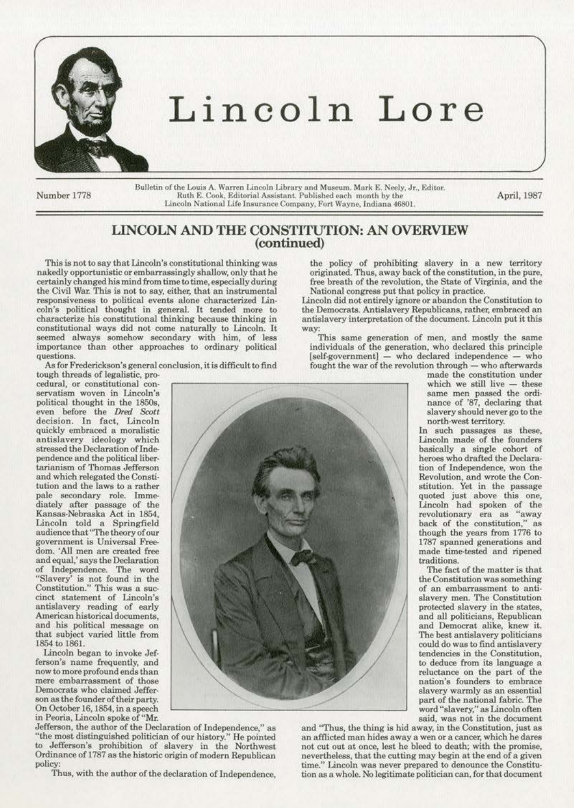

## **Lincoln Lore**

Number 1778

Bulletin of the Louis A. Warren Lincoln Library and Museum. Mark E. Neely, Jr., Editor.<br>Ruth E. Cook, Editorial Assistant. Published each month by the Ruth E. Cook, Editorial Assistant. Published each month by the **April, 1987**<br>Lincoln National Life Insurance Company, Fort Wayne, Indiana 46801.

## **LINCOLN AND THE CONSTITUTION: AN OVERVIEW (continued)**

This is not to say that Lincoln's constitutional thinking was nakedly opportunistic or embarrassingly shallow, only that he certainly changed his mind from time to time, especially during the Civil War. This is not to say, either, that an instrumental **responsiveness** *to* **political events alone characterized Lin·**  coin's political thought in general. It tended more to characterize his constitutional thinking because thinking in constitutional ways did not come naturally to Lincoln. It **seemed always somehow secondary with him, of less importance than other approaches to ordinary political questions.** 

As for Frederickson's general conclusion, it is difficult to find

tough threads of legalistic, procedural, or constitutional con· **se:rvatism woven in Lincoln's**  political thought in the 1850s, even before the *Dred Scott*  **decision. In fact. Lincoln**  quickly embraced a moralistic antislavery ideology which stressed the Declaration of Independence and the political liber**tarianism of Thomas Jefferson**  and which relegated the Consti**tution and the laws to a rather**  pale secondary role. Immediately after passage of the Kansas-Nebraska Act in 1854, Lincoln told a Springfield audience that "The theory of our **government. is Universal free.**  dom. 'All men are created free and equal,' says the Declaration of Independence. The word "Slavery' is not found in the **Constitution:' This was a suc**cinct statement of Lincoln's **antislavery reading of early**  American historical documents, and his political message on that subject varied little from 1854 to 1861.

Lincoln began to invoke Jef-<br>ferson's name frequently, and **ferson's name frequently, and now to more profound ends than mere embarrassment of those**  Democrats who claimed Jefferson as the founder of their party. On October 16, 1854, in a speech

in Peoria, Lincoln spoke of "Mr. "the most distinguished politician of our history." He pointed to Jefferson's prohibition of slavery in the Northwest Ordinance of 1787 as the historic origin of modern Republican policy:

Thus, with the author of the declaration of Independence,

the policy of prohibiting slavery in a new territory originated. Thus, away back of the constitution, in the pure, free breath of the revolution, the State of Virginia, and the National congress put that policy in practice.

Lincoln did not entirely ignore or abandon the Constitution to the Democrats. Antislavery Republicans, rather, embraced an antislavery interpretation of the document. Lincoln put it this way:<br>This same generation of men, and mostly the same

individuals of the generation, who declared this principle [self-government] - who declared independence - who fought the war of the revolution through - who afterwards



**made the constitution under**  which we still live  $-$  these<br>same men passed the ordinance of '87, declaring that slavery should never go to the **north-west. territory.** 

In such passages as these, Lincoln made of the founders basically a single cohort of heroes who drafted the Declaration of Independence, won the Revolution, and wrote the Con· stitution. Yet in the passage **quoted just above this one,**  Lincoln had spoken of the **revolutionary era as "away**  back of the constitution," as though the years from 1776 to 1787 spanned generations and made time-tested and ripened **traditions.** 

The fact of the matter is that **the Constitution was something**  of an embarrassment to antislavery men. The Constitution protected slavery in the states, and all politicians, Republican and Democrat alike, knew it. The best antislavery politicians could do was to find antislavery **tendencies in the Constitution,**  to deduce from its language a reluctance on the part of the **nation's founders to embrace slavery warmly as an essentia1**  part of the national fabric. The **word "slavery," as Lincoln often** 

said, was not in the document<br>and "Thus, the thing is hid away, in the Constitution, just as an afflicted man hides away a wen or a cancer, which he dares not cut out at once, lest he bleed to death; with the promise, nevertheless, that the cutting may begin at the end of a given time." Lincoln was never prepared to denounce the Constitution as a whole. No legitimate politician can, for that document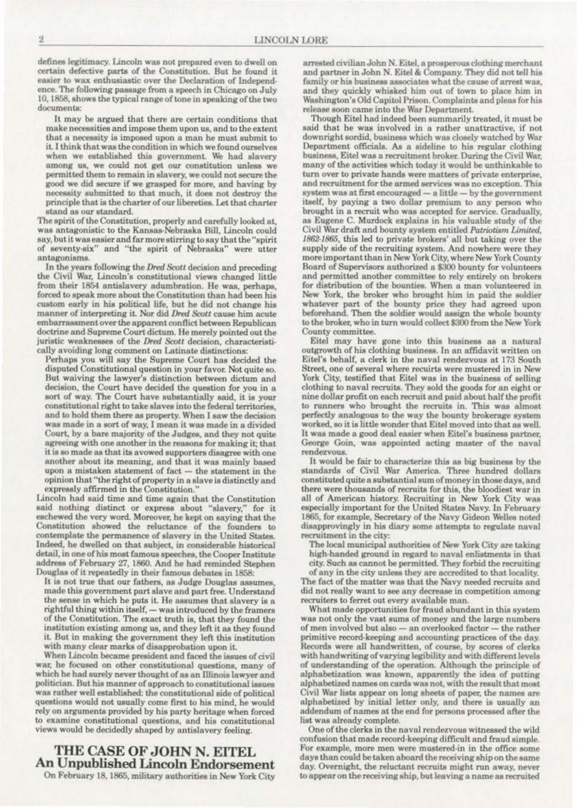defines legitimacy. Lincoln was not prepared even to dwell on certain defective parts of the Constitution. But he found it easier to wax enthusiastic over the Declaration of Independence. The following passage from a speech in Chicago on July 10, 1858, shows the typical range of tone in speaking of the two documents:

It may be argued that there are certain conditions that make necessities and impose them upon us, and to the extent that a necessity is imposed upon a man he must submit to it. I think that was the condition in which we found ourselves when we established this government. We had slavery among us, we could not get our constitution unless we permitted them to remain in slavery, we could not secure the good we did secure if we grasped for more, and having by necessity submitted to that much, it does not destroy the principle that is the charter of our libereties. Let that charter stand as our standard.

The spirit of the Constitution, properly and carefully looked at, was antagonistic to the Kansas-Nebraska Bill, Lincoln could say, but it was easier and far more stirring to say that the "spirit of seventy-six" and "the spirit of Nebraska" were utter antagonisms.

In the years following the Dred Scott decision and preceding the Civil War, Lincoln's constitutional views changed little from their 1854 antislavery adumbration. He was, perhaps, forced to speak more about the Constitution than had been his custom early in his political life, but he did not change his manner of interpreting it. Nor did Dred Scott cause him acute embarrassment over the apparent conflict between Republican doctrine and Supreme Court dictum. He merely pointed out the juristic weaknesses of the Dred Scott decision, characteristically avoiding long comment on Latinate distinctions:

Perhaps you will say the Supreme Court has decided the disputed Constitutional question in your favor. Not quite so. But waiving the lawyer's distinction between dictum and decision, the Court have decided the question for you in a sort of way. The Court have substantially said, it is your constitutional right to take slaves into the federal territories. and to hold them there as property. When I saw the decision was made in a sort of way, I mean it was made in a divided Court, by a bare majority of the Judges, and they not quite agreeing with one another in the reasons for making it; that it is so made as that its avowed supporters disagree with one another about its meaning, and that it was mainly based upon a mistaken statement of fact - the statement in the opinion that "the right of property in a slave is distinctly and expressly affirmed in the Constitution."

Lincoln had said time and time again that the Constitution said nothing distinct or express about "slavery," for it eschewed the very word. Moreover, he kept on saying that the Constitution showed the reluctance of the founders to contemplate the permanence of slavery in the United States. Indeed, he dwelled on that subject, in considerable historical detail, in one of his most famous speeches, the Cooper Institute address of February 27, 1860. And he had reminded Stephen Douglas of it repeatedly in their famous debates in 1858:

It is not true that our fathers, as Judge Douglas assumes, made this government part slave and part free. Understand the sense in which he puts it. He assumes that slavery is a rightful thing within itself, - was introduced by the framers of the Constitution. The exact truth is, that they found the institution existing among us, and they left it as they found it. But in making the government they left this institution with many clear marks of disapprobation upon it.

When Lincoln became president and faced the issues of civil war, he focused on other constitutional questions, many of which he had surely never thought of as an Illinois lawyer and politician. But his manner of approach to constitutional issues was rather well established: the constitutional side of political questions would not usually come first to his mind, he would rely on arguments provided by his party heritage when forced to examine constitutional questions, and his constitutional views would be decidedly shaped by antislavery feeling.

THE CASE OF JOHN N. EITEL **An Unpublished Lincoln Endorsement** 

On February 18, 1865, military authorities in New York City

arrested civilian John N. Eitel, a prosperous clothing merchant and partner in John N. Eitel & Company. They did not tell his family or his business associates what the cause of arrest was, and they quickly whisked him out of town to place him in Washington's Old Capitol Prison. Complaints and pleas for his release soon came into the War Department.

Though Eitel had indeed been summarily treated, it must be said that he was involved in a rather unattractive, if not downright sordid, business which was closely watched by War Department officials. As a sideline to his regular clothing business, Eitel was a recruitment broker. During the Civil War, many of the activities which today it would be unthinkable to turn over to private hands were matters of private enterprise. and recruitment for the armed services was no exception. This system was at first encouraged - a little - by the government itself, by paying a two dollar premium to any person who brought in a recruit who was accepted for service. Gradually, as Eugene C. Murdock explains in his valuable study of the Civil War draft and bounty system entitled Patriotism Limited. 1862-1865, this led to private brokers' all but taking over the supply side of the recruiting system. And nowhere were they more important than in New York City, where New York County Board of Supervisors authorized a \$300 bounty for volunteers and permitted another committee to rely entirely on brokers for distribution of the bounties. When a man volunteered in New York, the broker who brought him in paid the soldier whatever part of the bounty price they had agreed upon beforehand. Then the soldier would assign the whole bounty to the broker, who in turn would collect \$300 from the New York County committee.

Eitel may have gone into this business as a natural outgrowth of his clothing business. In an affidavit written on Eitel's behalf, a clerk in the naval rendezvous at 173 South Street, one of several where recuirts were mustered in in New York City, testified that Eitel was in the business of selling clothing to naval recruits. They sold the goods for an eight or nine dollar profit on each recruit and paid about half the profit to runners who brought the recruits in. This was almost perfectly analogous to the way the bounty brokerage system worked, so it is little wonder that Eitel moved into that as well. It was made a good deal easier when Eitel's business partner, George Goin, was appointed acting master of the naval rendezvous.

It would be fair to characterize this as big business by the standards of Civil War America. Three hundred dollars constituted quite a substantial sum of money in those days, and there were thousands of recruits for this, the bloodiest war in all of American history. Recruiting in New York City was especially important for the United States Navy. In February 1865, for example, Secretary of the Navy Gideon Welles noted disapprovingly in his diary some attempts to regulate naval recruitment in the city:

The local municipal authorities of New York City are taking high-handed ground in regard to naval enlistments in that city. Such as cannot be permitted. They forbid the recruiting

of any in the city unless they are accredited to that locality. The fact of the matter was that the Navy needed recruits and did not really want to see any decrease in competition among recruiters to ferret out every available man.

What made opportunities for fraud abundant in this system was not only the vast sums of money and the large numbers of men involved but also - an overlooked factor - the rather primitive record-keeping and accounting practices of the day. Records were all handwritten, of course, by scores of clerks with handwriting of varying legibility and with different levels of understanding of the operation. Although the principle of alphabetization was known, apparently the idea of putting alphabetized names on cards was not, with the result that most Civil War lists appear on long sheets of paper, the names are alphabetized by initial letter only, and there is usually an addendum of names at the end for persons processed after the list was already complete.

One of the clerks in the naval rendezvous witnessed the wild confusion that made record-keeping difficult and fraud simple. For example, more men were mustered-in in the office some days than could be taken aboard the receiving ship on the same day. Overnight, the reluctant recruits might run away, never to appear on the receiving ship, but leaving a name as recruited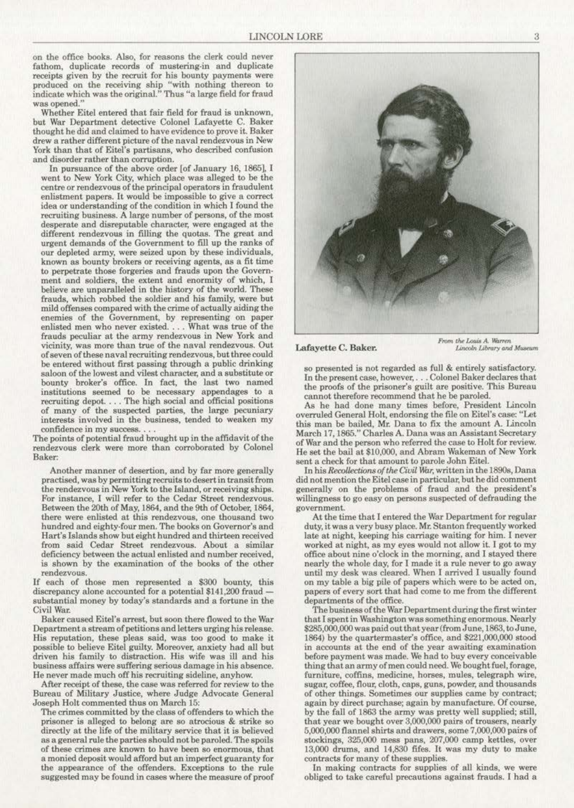on the office books. Also, for reasons the clerk could never fathom, duplicate records of mustering·in and duplicate receipts given by the recruit for his bounty payments were produced on the receiving ship "with nothing thereon to indicate which was the original." Thus "a large field for fraud **was opened."** 

Whether Eitel entered that fair field for fraud is unknown, but War Department detective Colonel Lafayette C. Baker thought he did and claimed to have evidence to prove it. Baker **drew a rather different picture of the naval rendezvous in New**  York than that of Eitel's partisans, who described confusion and disorder rather than corruption.

In pursuance of the above order [of January 16, 1865], I went to New York City, which place was alleged to be the **centre or rendezvous of the principal operators in fraudulent**  enlistment papers. It would be impossible to give a correct idea or understanding of the condition in which I found the recruiting business. A large number of persons, of the most desperate and disreputable character, were engaged at the different rendezvous in filling the quotas. The great and urgent demands of the Government to fill up the ranks of our depleted army, were seized upon by these individuals, **known as bounty brokers or receiving agents. as a fit time**  to perpetrate those forgeries and frauds upon the Govern**ment and soldiers, the extent and enormity of which, I**  believe are unparalleled in the history of the world. These frauds, which robbed the soldier and his family, were but mild offenses compared with the crime of actually aiding the **enemies of the Government, by representing on paper enlisted men who never existed .** ... **What was true of the**  frauds peculiar at the army rendezvous in New York and **vicinity, was more than true of the naval rendezvous. Out of s0ven of these naval recruiting rendezvous, but three could**  be entered without first passing through a public drinking saloon of the lowest and vilest character, and a substitute or bounty broker's office. ln fact, the last two named institutions seemed to be necessary appendages to a recruiting depot.. ... The high social and official positions of many of the suspected parties, the large pecuniary interests involved in the business, tended to weaken my **confidence in my success .** ...

The points of potential fraud brought up in the affidavit of the rendezvous clerk were more than corroborated by Colonel Baker:

Another manner of desertion, and by far more generally practised, was by permitting recruits to desert in transit from the rendezvous in New York to the Island, or receiving shipa. For instance, I will refer to the Cedar Street rendezvous. Between the 20th of May, 1864, and the 9th of October, 1864, **there were enlisted at this rendezvous, one thousand two hundred and eighty-four men. The books on Governor's and**  Hart's Islands show but eight hundred and thirteen received from said Cedar Street rendezvous. About a similar deficiency between the actual enlisted and number received, is shown by the examination of the books of the other **rendezvous.** 

**If each of those men represented a \$300 bounty, this**  discrepancy alone accounted for a potential \$141,200 fraud substantial money by today's standards and a fortune in the Civil War.

Baker caused Eitel's arrest, but soon there flowed to the War Department a stream of petitions and letters urging his release. His reputation, these pleas said, was too good to make it possible to believe Eitel guilty. Moreover, anxiety had all but driven his family to distraction. His wife was ill and his **business affairs were suffering serious damage in his absence. He never made much off his recruiting sideline, anyhow.** 

After receipt of these, the case was referred for review to the Bureau of Military Justice, where Judge Advocate General Joseph Holt commented thus on March 15:

The crimes committed by the class of offenders to which the prisoner is alleged to belong are so atrocious & strike so directly at the life of the military service that it is believed as a general rule the parties should not be paroled. The spoils of these crimes are known to have been so enormous, that a monied deposit would afford but an imperfect guaranty for the appearance of the offenders. Exceptions to the rule suggested may be found in cases where the measure of proof



Lafayette C. Baker.

Lincoln Library and Museum

so presented is not regarded as full & entirely satisfactory. ln the present case, however, ... Colonel Baker declares that **the proofs of the prisoner's guiJl are positive. This Bureau**  cannot therefore recommend that he be paroled.

As he had done many times before, President Lincoln overruled General Holt, endorsing the file on Eitel's case: "Let this man be bailed, Mr. Dana to fix the amount A. Lincoln March 17, 1865." Charles A. Dana was an Assistant Secretary of War and the person who referred the case to Holt for review. He set the bail at \$10,000, and Abram Wakeman of New York sent a eheck for that amount to parole John Eitel.

In his Recollections of the Civil War, written in the 1890s, Dana did not mention the Eitel casein particular, but he did comment generally on the problems of fraud and the president's willingness to go easy on persons suspected of defrauding the **government.** 

At the time that I entered the War Department for regular duty, it was a very busy place. Mr. Stanton frequently worked late at night, keeping his carriage waiting for him. I never worked at night, as my eyes would not allow it. I got to my office about nine o'clock in the morning, and I stayed there nearly the whole day, for I made it a rule never to go away until my desk was cleared. When I arrived I usually found on my table a big pile of papers which were to be acted on, papers of every sort that had come to me from the different departments of the office.

The business of the War Department during the first winter that I spent in Washington was something enormous. Nearly \$285,000,000 was paid out that year (from June, 1863, to June, 1864) by the quartermaster's office, and \$221,000,000 stood **in accounts at the end of the year awaiting examination**  before payment was made. We had to buy every conceivable thing that an army of men could need. We bought fuel, forage, furniture, coffins, medicine, horses, mules, telegraph wire, **sugar, coffee, flour, cloth, caps, guns, powder, and thousands**  of other things. Sometimes our supplies came by contract; again by direct purchase; again by manufacture. Of course, by the fall of 1863 the army was pretty well supplied; still, that year we bought over 3,000,000 pairs of trousers, nearly 5,000,000 flannel shirts and drawers, some 7,000,000 pairs of stockings, 325,000 mess pans, 207,000 camp kettles, over 13,000 drums, and 14,830 fifes. It was my duty to make contracts for many of these supplies.

ln making contracts for supplies of all kinds, we were obliged to take careful precautions against frauds. I had a